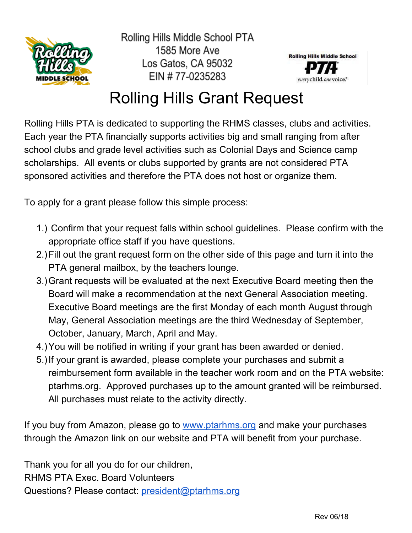

Rolling Hills Middle School PTA 1585 More Ave Los Gatos, CA 95032 EIN #77-0235283



## Rolling Hills Grant Request

Rolling Hills PTA is dedicated to supporting the RHMS classes, clubs and activities. Each year the PTA financially supports activities big and small ranging from after school clubs and grade level activities such as Colonial Days and Science camp scholarships. All events or clubs supported by grants are not considered PTA sponsored activities and therefore the PTA does not host or organize them.

To apply for a grant please follow this simple process:

- 1.) Confirm that your request falls within school guidelines. Please confirm with the appropriate office staff if you have questions.
- 2.)Fill out the grant request form on the other side of this page and turn it into the PTA general mailbox, by the teachers lounge.
- 3.)Grant requests will be evaluated at the next Executive Board meeting then the Board will make a recommendation at the next General Association meeting. Executive Board meetings are the first Monday of each month August through May, General Association meetings are the third Wednesday of September, October, January, March, April and May.
- 4.)You will be notified in writing if your grant has been awarded or denied.
- 5.)If your grant is awarded, please complete your purchases and submit a reimbursement form available in the teacher work room and on the PTA website: ptarhms.org. Approved purchases up to the amount granted will be reimbursed. All purchases must relate to the activity directly.

If you buy from Amazon, please go to [www.ptarhms.org](http://www.ptarhms.org/) and make your purchases through the Amazon link on our website and PTA will benefit from your purchase.

Thank you for all you do for our children, RHMS PTA Exec. Board Volunteers Questions? Please contact: [president@ptarhms.org](mailto:president@ptarhms.org)